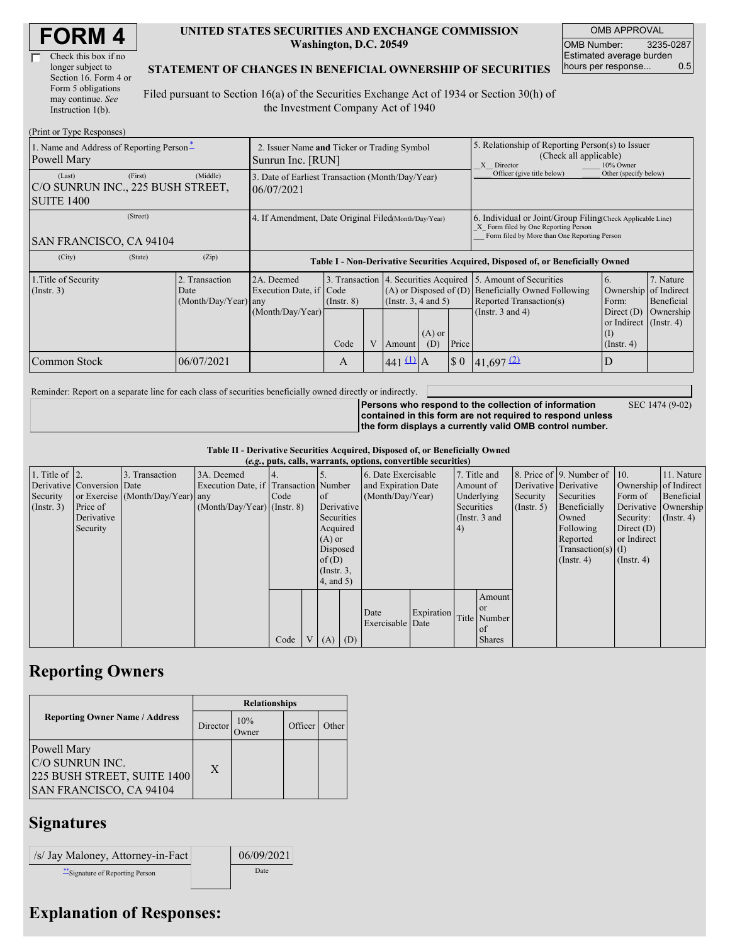| <b>FORM4</b> |
|--------------|
|--------------|

| Check this box if no  |
|-----------------------|
| longer subject to     |
| Section 16. Form 4 or |
| Form 5 obligations    |
| may continue. See     |
| Instruction 1(b).     |

#### **UNITED STATES SECURITIES AND EXCHANGE COMMISSION Washington, D.C. 20549**

OMB APPROVAL OMB Number: 3235-0287 Estimated average burden hours per response... 0.5

#### **STATEMENT OF CHANGES IN BENEFICIAL OWNERSHIP OF SECURITIES**

Filed pursuant to Section 16(a) of the Securities Exchange Act of 1934 or Section 30(h) of the Investment Company Act of 1940

| (Print or Type Responses)                                        |                                                                                                                                                                                                                  |            |                                                                                  |                                                                                                                                                       |   |                    |                                                                                                                                                    |                             |                         |                                                                  |           |
|------------------------------------------------------------------|------------------------------------------------------------------------------------------------------------------------------------------------------------------------------------------------------------------|------------|----------------------------------------------------------------------------------|-------------------------------------------------------------------------------------------------------------------------------------------------------|---|--------------------|----------------------------------------------------------------------------------------------------------------------------------------------------|-----------------------------|-------------------------|------------------------------------------------------------------|-----------|
| 1. Name and Address of Reporting Person*<br>Powell Mary          | 2. Issuer Name and Ticker or Trading Symbol<br>Sunrun Inc. [RUN]                                                                                                                                                 |            |                                                                                  |                                                                                                                                                       |   |                    | 5. Relationship of Reporting Person(s) to Issuer<br>(Check all applicable)<br>X Director<br>10% Owner                                              |                             |                         |                                                                  |           |
| (Last)<br>C/O SUNRUN INC., 225 BUSH STREET,<br><b>SUITE 1400</b> | (First)                                                                                                                                                                                                          | (Middle)   | 3. Date of Earliest Transaction (Month/Day/Year)<br>06/07/2021                   |                                                                                                                                                       |   |                    |                                                                                                                                                    | Officer (give title below)  | Other (specify below)   |                                                                  |           |
| (Street)<br><b>SAN FRANCISCO, CA 94104</b>                       | 4. If Amendment, Date Original Filed (Month/Day/Year)                                                                                                                                                            |            |                                                                                  |                                                                                                                                                       |   |                    | 6. Individual or Joint/Group Filing Check Applicable Line)<br>X Form filed by One Reporting Person<br>Form filed by More than One Reporting Person |                             |                         |                                                                  |           |
| (City)                                                           | (State)                                                                                                                                                                                                          | (Zip)      | Table I - Non-Derivative Securities Acquired, Disposed of, or Beneficially Owned |                                                                                                                                                       |   |                    |                                                                                                                                                    |                             |                         |                                                                  |           |
| 1. Title of Security<br>$($ Instr. 3 $)$                         | 2. Transaction<br>3. Transaction 4. Securities Acquired<br>2A. Deemed<br>Execution Date, if Code<br>$(A)$ or Disposed of $(D)$<br>Date<br>$($ Instr. 3, 4 and 5 $)$<br>$(Month/Day/Year)$ any<br>$($ Instr. $8)$ |            |                                                                                  | 7. Nature<br>5. Amount of Securities<br>6.<br>Beneficially Owned Following<br>Ownership of Indirect<br>Reported Transaction(s)<br>Form:<br>Beneficial |   |                    |                                                                                                                                                    |                             |                         |                                                                  |           |
|                                                                  |                                                                                                                                                                                                                  |            | (Month/Day/Year)                                                                 | Code                                                                                                                                                  | V | Amount             | $(A)$ or<br>(D)                                                                                                                                    | Price                       | (Instr. $3$ and $4$ )   | Direct $(D)$<br>or Indirect $($ Instr. 4 $)$<br>$($ Instr. 4 $)$ | Ownership |
| Common Stock                                                     |                                                                                                                                                                                                                  | 06/07/2021 |                                                                                  | A                                                                                                                                                     |   | 441 $\frac{11}{A}$ |                                                                                                                                                    | $\boldsymbol{\mathsf{S}}$ 0 | $41,697$ <sup>(2)</sup> | ID                                                               |           |

Reminder: Report on a separate line for each class of securities beneficially owned directly or indirectly.

SEC 1474 (9-02)

**Persons who respond to the collection of information contained in this form are not required to respond unless the form displays a currently valid OMB control number.**

**Table II - Derivative Securities Acquired, Disposed of, or Beneficially Owned (***e.g.***, puts, calls, warrants, options, convertible securities)**

| $(c, g, pus, can, wariants, vpuons, convcituvto scentuvos)$ |                            |                                  |                                       |      |                |                  |            |                     |            |              |                 |                       |                              |                  |                       |
|-------------------------------------------------------------|----------------------------|----------------------------------|---------------------------------------|------|----------------|------------------|------------|---------------------|------------|--------------|-----------------|-----------------------|------------------------------|------------------|-----------------------|
| 1. Title of $\vert$ 2.                                      |                            | 3. Transaction                   | 3A. Deemed                            |      |                |                  |            | 6. Date Exercisable |            | 7. Title and |                 |                       | 8. Price of 9. Number of 10. |                  | 11. Nature            |
|                                                             | Derivative Conversion Date |                                  | Execution Date, if Transaction Number |      |                |                  |            | and Expiration Date |            | Amount of    |                 | Derivative Derivative |                              |                  | Ownership of Indirect |
| Security                                                    |                            | or Exercise (Month/Day/Year) any |                                       | Code |                | <b>l</b> of      |            | (Month/Day/Year)    |            | Underlying   |                 | Security              | Securities                   | Form of          | Beneficial            |
| $($ Instr. 3 $)$                                            | Price of                   |                                  | $(Month/Day/Year)$ (Instr. 8)         |      |                |                  | Derivative |                     |            | Securities   |                 | $($ Instr. 5 $)$      | Beneficially                 |                  | Derivative Ownership  |
|                                                             | Derivative                 |                                  |                                       |      |                | Securities       |            |                     |            |              | (Instr. $3$ and |                       | Owned                        | Security:        | $($ Instr. 4 $)$      |
|                                                             | Security                   |                                  |                                       |      |                | Acquired         |            |                     |            | (4)          |                 |                       | Following                    | Direct $(D)$     |                       |
|                                                             |                            |                                  |                                       |      |                | $(A)$ or         |            |                     |            |              |                 |                       | Reported                     | or Indirect      |                       |
|                                                             |                            |                                  |                                       |      |                | Disposed         |            |                     |            |              |                 |                       | Transaction(s) $(I)$         |                  |                       |
|                                                             |                            |                                  |                                       |      |                | of $(D)$         |            |                     |            |              |                 |                       | $($ Instr. 4 $)$             | $($ Instr. 4 $)$ |                       |
|                                                             |                            |                                  |                                       |      |                | $($ Instr. $3$ , |            |                     |            |              |                 |                       |                              |                  |                       |
|                                                             |                            |                                  |                                       |      |                | $4$ , and $5$ )  |            |                     |            |              |                 |                       |                              |                  |                       |
|                                                             |                            |                                  |                                       |      |                |                  |            |                     |            |              | Amount          |                       |                              |                  |                       |
|                                                             |                            |                                  |                                       |      |                |                  |            | Date                | Expiration |              | or or           |                       |                              |                  |                       |
|                                                             |                            |                                  |                                       |      |                |                  |            | Exercisable Date    |            |              | Title Number    |                       |                              |                  |                       |
|                                                             |                            |                                  |                                       |      |                |                  |            |                     |            |              | of              |                       |                              |                  |                       |
|                                                             |                            |                                  |                                       | Code | V <sub>1</sub> | $(A)$ $(D)$      |            |                     |            |              | <b>Shares</b>   |                       |                              |                  |                       |

## **Reporting Owners**

|                                                                                          | <b>Relationships</b> |                     |         |       |  |  |  |
|------------------------------------------------------------------------------------------|----------------------|---------------------|---------|-------|--|--|--|
| <b>Reporting Owner Name / Address</b>                                                    | Director             | 10%<br><b>Tymer</b> | Officer | Other |  |  |  |
| Powell Mary<br>C/O SUNRUN INC.<br>225 BUSH STREET, SUITE 1400<br>SAN FRANCISCO, CA 94104 | X                    |                     |         |       |  |  |  |

### **Signatures**

| /s/ Jay Maloney, Attorney-in-Fact | 06/09/2021 |
|-----------------------------------|------------|
| ** Signature of Reporting Person  | Date       |

# **Explanation of Responses:**